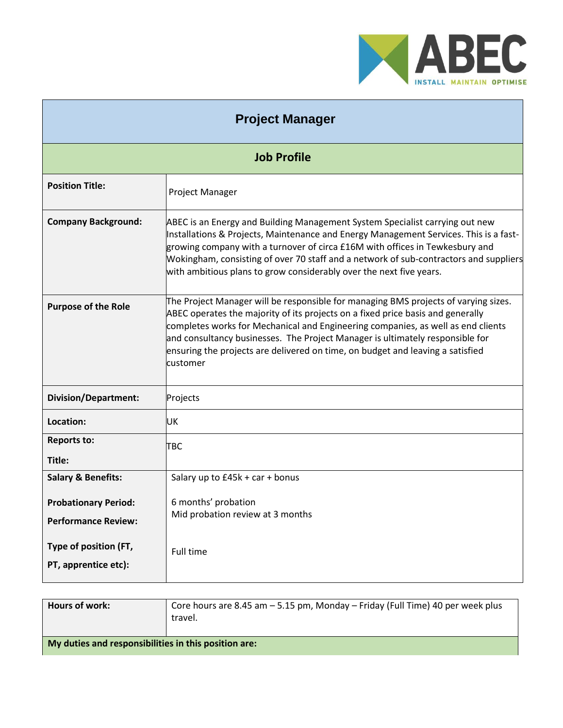

| <b>Project Manager</b>                                    |                                                                                                                                                                                                                                                                                                                                                                                                                                           |  |
|-----------------------------------------------------------|-------------------------------------------------------------------------------------------------------------------------------------------------------------------------------------------------------------------------------------------------------------------------------------------------------------------------------------------------------------------------------------------------------------------------------------------|--|
| <b>Job Profile</b>                                        |                                                                                                                                                                                                                                                                                                                                                                                                                                           |  |
| <b>Position Title:</b>                                    | Project Manager                                                                                                                                                                                                                                                                                                                                                                                                                           |  |
| <b>Company Background:</b>                                | ABEC is an Energy and Building Management System Specialist carrying out new<br>Installations & Projects, Maintenance and Energy Management Services. This is a fast-<br>growing company with a turnover of circa £16M with offices in Tewkesbury and<br>Wokingham, consisting of over 70 staff and a network of sub-contractors and suppliers<br>with ambitious plans to grow considerably over the next five years.                     |  |
| <b>Purpose of the Role</b>                                | The Project Manager will be responsible for managing BMS projects of varying sizes.<br>ABEC operates the majority of its projects on a fixed price basis and generally<br>completes works for Mechanical and Engineering companies, as well as end clients<br>and consultancy businesses. The Project Manager is ultimately responsible for<br>ensuring the projects are delivered on time, on budget and leaving a satisfied<br>customer |  |
| <b>Division/Department:</b>                               | Projects                                                                                                                                                                                                                                                                                                                                                                                                                                  |  |
| Location:                                                 | UK                                                                                                                                                                                                                                                                                                                                                                                                                                        |  |
| <b>Reports to:</b><br>Title:                              | TBC                                                                                                                                                                                                                                                                                                                                                                                                                                       |  |
| <b>Salary &amp; Benefits:</b>                             | Salary up to £45k + car + bonus                                                                                                                                                                                                                                                                                                                                                                                                           |  |
| <b>Probationary Period:</b><br><b>Performance Review:</b> | 6 months' probation<br>Mid probation review at 3 months                                                                                                                                                                                                                                                                                                                                                                                   |  |
| Type of position (FT,<br>PT, apprentice etc):             | Full time                                                                                                                                                                                                                                                                                                                                                                                                                                 |  |

| Hours of work:                                       | Core hours are 8.45 am $-5.15$ pm, Monday $-$ Friday (Full Time) 40 per week plus<br>travel. |
|------------------------------------------------------|----------------------------------------------------------------------------------------------|
| My duties and responsibilities in this position are: |                                                                                              |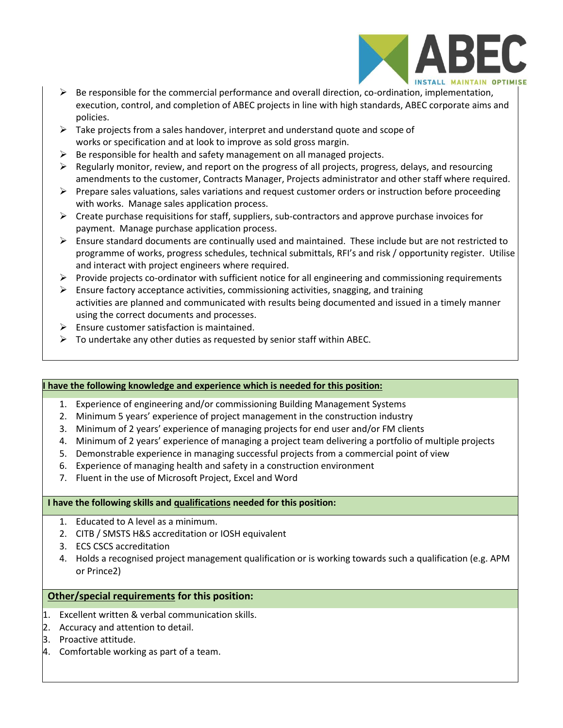

- $\triangleright$  Be responsible for the commercial performance and overall direction, co-ordination, implementation, execution, control, and completion of ABEC projects in line with high standards, ABEC corporate aims and policies.
- $\triangleright$  Take projects from a sales handover, interpret and understand quote and scope of works or specification and at look to improve as sold gross margin.
- $\triangleright$  Be responsible for health and safety management on all managed projects.
- $\triangleright$  Regularly monitor, review, and report on the progress of all projects, progress, delays, and resourcing amendments to the customer, Contracts Manager, Projects administrator and other staff where required.
- ➢ Prepare sales valuations, sales variations and request customer orders or instruction before proceeding with works. Manage sales application process.
- $\triangleright$  Create purchase requisitions for staff, suppliers, sub-contractors and approve purchase invoices for payment. Manage purchase application process.
- $\triangleright$  Ensure standard documents are continually used and maintained. These include but are not restricted to programme of works, progress schedules, technical submittals, RFI's and risk / opportunity register. Utilise and interact with project engineers where required.
- ➢ Provide projects co-ordinator with sufficient notice for all engineering and commissioning requirements
- $\triangleright$  Ensure factory acceptance activities, commissioning activities, snagging, and training activities are planned and communicated with results being documented and issued in a timely manner using the correct documents and processes.
- $\triangleright$  Ensure customer satisfaction is maintained.
- $\triangleright$  To undertake any other duties as requested by senior staff within ABEC.

# **I have the following knowledge and experience which is needed for this position:**

- 1. Experience of engineering and/or commissioning Building Management Systems
- 2. Minimum 5 years' experience of project management in the construction industry
- 3. Minimum of 2 years' experience of managing projects for end user and/or FM clients
- 4. Minimum of 2 years' experience of managing a project team delivering a portfolio of multiple projects
- 5. Demonstrable experience in managing successful projects from a commercial point of view
- 6. Experience of managing health and safety in a construction environment
- 7. Fluent in the use of Microsoft Project, Excel and Word

#### **I have the following skills and qualifications needed for this position:**

- 1. Educated to A level as a minimum.
- 2. CITB / SMSTS H&S accreditation or IOSH equivalent
- 3. ECS CSCS accreditation
- 4. Holds a recognised project management qualification or is working towards such a qualification (e.g. APM or Prince2)

# **Other/special requirements for this position:**

- 1. Excellent written & verbal communication skills.
- 2. Accuracy and attention to detail.
- 3. Proactive attitude.
- 4. Comfortable working as part of a team.